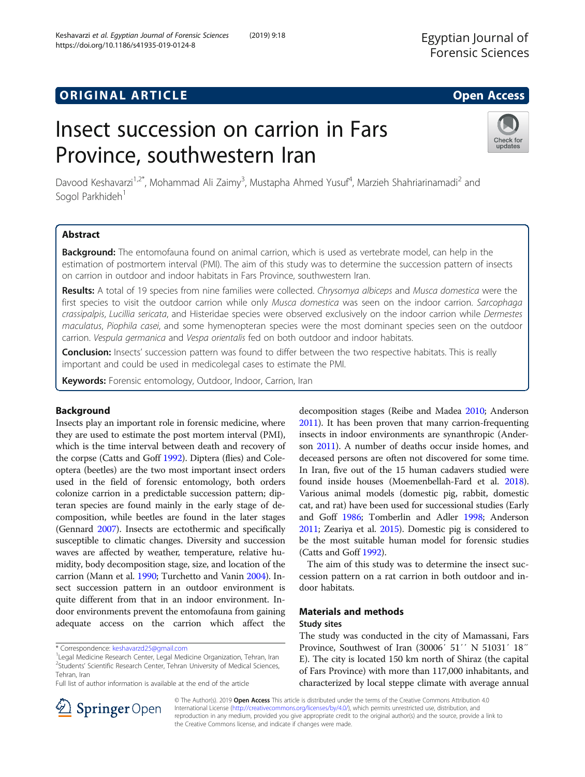## **ORIGINAL ARTICLE CONSERVANCE IN A LOCAL CONSERVANCE IN A LOCAL CONSERVANCE IN A LOCAL CONSERVANCE IN A LOCAL CONS**

# Insect succession on carrion in Fars Province, southwestern Iran

Davood Keshavarzi<sup>1,2\*</sup>, Mohammad Ali Zaimy<sup>3</sup>, Mustapha Ahmed Yusuf<sup>4</sup>, Marzieh Shahriarinamadi<sup>2</sup> and Sogol Parkhideh<sup>1</sup>

## Abstract

Background: The entomofauna found on animal carrion, which is used as vertebrate model, can help in the estimation of postmortem interval (PMI). The aim of this study was to determine the succession pattern of insects on carrion in outdoor and indoor habitats in Fars Province, southwestern Iran.

Results: A total of 19 species from nine families were collected. Chrysomya albiceps and Musca domestica were the first species to visit the outdoor carrion while only Musca domestica was seen on the indoor carrion. Sarcophaga crassipalpis, Lucillia sericata, and Histeridae species were observed exclusively on the indoor carrion while Dermestes maculatus, Piophila casei, and some hymenopteran species were the most dominant species seen on the outdoor carrion. Vespula germanica and Vespa orientalis fed on both outdoor and indoor habitats.

Conclusion: Insects' succession pattern was found to differ between the two respective habitats. This is really important and could be used in medicolegal cases to estimate the PMI.

Keywords: Forensic entomology, Outdoor, Indoor, Carrion, Iran

## Background

Insects play an important role in forensic medicine, where they are used to estimate the post mortem interval (PMI), which is the time interval between death and recovery of the corpse (Catts and Goff [1992](#page-4-0)). Diptera (flies) and Coleoptera (beetles) are the two most important insect orders used in the field of forensic entomology, both orders colonize carrion in a predictable succession pattern; dipteran species are found mainly in the early stage of decomposition, while beetles are found in the later stages (Gennard [2007](#page-5-0)). Insects are ectothermic and specifically susceptible to climatic changes. Diversity and succession waves are affected by weather, temperature, relative humidity, body decomposition stage, size, and location of the carrion (Mann et al. [1990](#page-5-0); Turchetto and Vanin [2004](#page-5-0)). Insect succession pattern in an outdoor environment is quite different from that in an indoor environment. Indoor environments prevent the entomofauna from gaining adequate access on the carrion which affect the

\* Correspondence: [keshavarzd25@gmail.com](mailto:keshavarzd25@gmail.com) <sup>1</sup>

Full list of author information is available at the end of the article

decomposition stages (Reibe and Madea [2010](#page-5-0); Anderson [2011\)](#page-4-0). It has been proven that many carrion-frequenting insects in indoor environments are synanthropic (Anderson [2011\)](#page-4-0). A number of deaths occur inside homes, and deceased persons are often not discovered for some time. In Iran, five out of the 15 human cadavers studied were found inside houses (Moemenbellah-Fard et al. [2018](#page-5-0)). Various animal models (domestic pig, rabbit, domestic cat, and rat) have been used for successional studies (Early and Goff [1986;](#page-5-0) Tomberlin and Adler [1998;](#page-5-0) Anderson [2011;](#page-4-0) Zeariya et al. [2015](#page-5-0)). Domestic pig is considered to be the most suitable human model for forensic studies (Catts and Goff [1992](#page-4-0)).

The aim of this study was to determine the insect succession pattern on a rat carrion in both outdoor and indoor habitats.

## Materials and methods Study sites

The study was conducted in the city of Mamassani, Fars Province, Southwest of Iran (30006′ 51′′ N 51031′ 18″ E). The city is located 150 km north of Shiraz (the capital of Fars Province) with more than 117,000 inhabitants, and characterized by local steppe climate with average annual

© The Author(s). 2019 Open Access This article is distributed under the terms of the Creative Commons Attribution 4.0 International License ([http://creativecommons.org/licenses/by/4.0/\)](http://creativecommons.org/licenses/by/4.0/), which permits unrestricted use, distribution, and reproduction in any medium, provided you give appropriate credit to the original author(s) and the source, provide a link to the Creative Commons license, and indicate if changes were made.





<sup>&</sup>lt;sup>1</sup> Legal Medicine Research Center, Legal Medicine Organization, Tehran, Iran <sup>2</sup>Students' Scientific Research Center, Tehran University of Medical Sciences, Tehran, Iran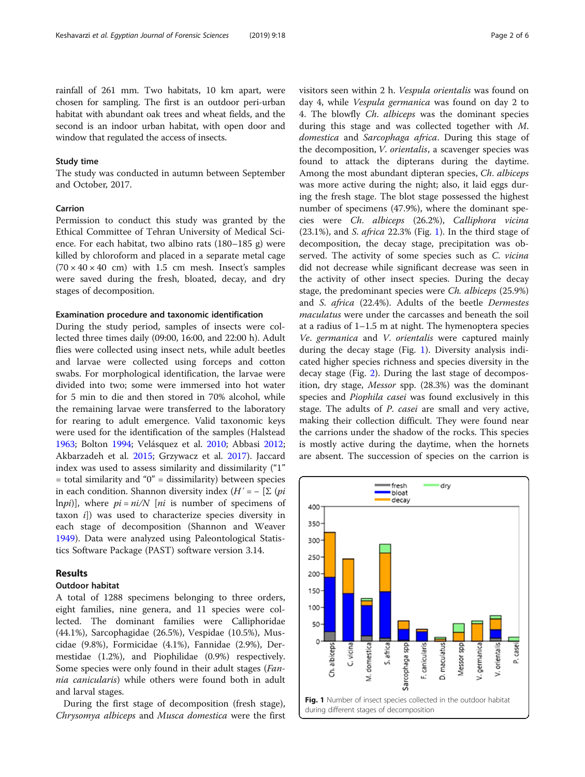rainfall of 261 mm. Two habitats, 10 km apart, were chosen for sampling. The first is an outdoor peri-urban habitat with abundant oak trees and wheat fields, and the second is an indoor urban habitat, with open door and window that regulated the access of insects.

### Study time

The study was conducted in autumn between September and October, 2017.

## Carrion

Permission to conduct this study was granted by the Ethical Committee of Tehran University of Medical Science. For each habitat, two albino rats (180–185 g) were killed by chloroform and placed in a separate metal cage  $(70 \times 40 \times 40$  cm) with 1.5 cm mesh. Insect's samples were saved during the fresh, bloated, decay, and dry stages of decomposition.

#### Examination procedure and taxonomic identification

During the study period, samples of insects were collected three times daily (09:00, 16:00, and 22:00 h). Adult flies were collected using insect nets, while adult beetles and larvae were collected using forceps and cotton swabs. For morphological identification, the larvae were divided into two; some were immersed into hot water for 5 min to die and then stored in 70% alcohol, while the remaining larvae were transferred to the laboratory for rearing to adult emergence. Valid taxonomic keys were used for the identification of the samples (Halstead [1963](#page-5-0); Bolton [1994;](#page-4-0) Velásquez et al. [2010](#page-5-0); Abbasi [2012](#page-4-0); Akbarzadeh et al. [2015](#page-4-0); Grzywacz et al. [2017](#page-5-0)). Jaccard index was used to assess similarity and dissimilarity ("1"  $=$  total similarity and "0"  $=$  dissimilarity) between species in each condition. Shannon diversity index  $(H' = - \sum (pi$ lnpi)], where  $pi = ni/N$  [ni is number of specimens of taxon i]) was used to characterize species diversity in each stage of decomposition (Shannon and Weaver [1949](#page-5-0)). Data were analyzed using Paleontological Statistics Software Package (PAST) software version 3.14.

## Results

#### Outdoor habitat

A total of 1288 specimens belonging to three orders, eight families, nine genera, and 11 species were collected. The dominant families were Calliphoridae (44.1%), Sarcophagidae (26.5%), Vespidae (10.5%), Muscidae (9.8%), Formicidae (4.1%), Fannidae (2.9%), Dermestidae (1.2%), and Piophilidae (0.9%) respectively. Some species were only found in their adult stages (Fannia canicularis) while others were found both in adult and larval stages.

During the first stage of decomposition (fresh stage), Chrysomya albiceps and Musca domestica were the first visitors seen within 2 h. Vespula orientalis was found on day 4, while Vespula germanica was found on day 2 to 4. The blowfly Ch. albiceps was the dominant species during this stage and was collected together with M. domestica and Sarcophaga africa. During this stage of the decomposition, V. orientalis, a scavenger species was found to attack the dipterans during the daytime. Among the most abundant dipteran species, Ch. albiceps was more active during the night; also, it laid eggs during the fresh stage. The blot stage possessed the highest number of specimens (47.9%), where the dominant species were Ch. albiceps (26.2%), Calliphora vicina  $(23.1\%)$ , and S. *africa* 22.3% (Fig. 1). In the third stage of decomposition, the decay stage, precipitation was observed. The activity of some species such as C. vicina did not decrease while significant decrease was seen in the activity of other insect species. During the decay stage, the predominant species were Ch. albiceps (25.9%) and S. africa (22.4%). Adults of the beetle Dermestes maculatus were under the carcasses and beneath the soil at a radius of  $1-1.5$  m at night. The hymenoptera species Ve. germanica and V. orientalis were captured mainly during the decay stage (Fig. 1). Diversity analysis indicated higher species richness and species diversity in the decay stage (Fig. [2\)](#page-2-0). During the last stage of decomposition, dry stage, Messor spp. (28.3%) was the dominant species and Piophila casei was found exclusively in this stage. The adults of P. casei are small and very active, making their collection difficult. They were found near the carrions under the shadow of the rocks. This species is mostly active during the daytime, when the hornets are absent. The succession of species on the carrion is

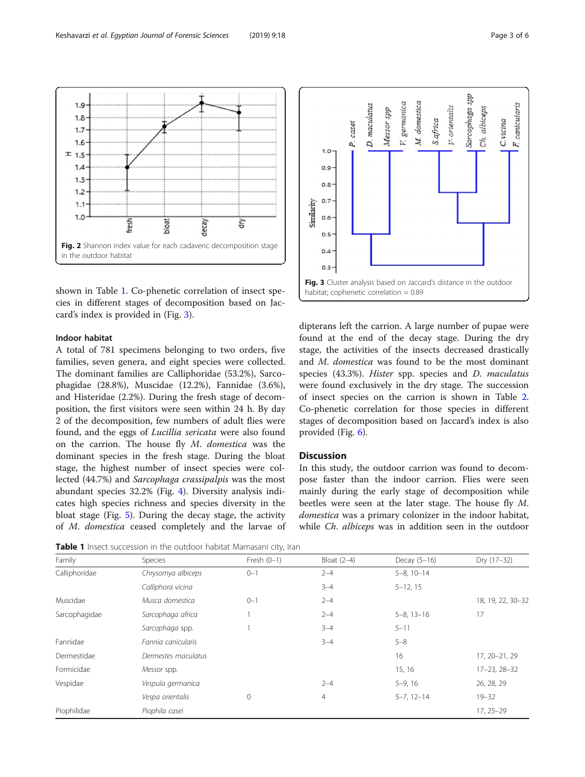<span id="page-2-0"></span>

shown in Table 1. Co-phenetic correlation of insect species in different stages of decomposition based on Jaccard's index is provided in (Fig. 3).

## Indoor habitat

A total of 781 specimens belonging to two orders, five families, seven genera, and eight species were collected. The dominant families are Calliphoridae (53.2%), Sarcophagidae (28.8%), Muscidae (12.2%), Fannidae (3.6%), and Histeridae (2.2%). During the fresh stage of decomposition, the first visitors were seen within 24 h. By day 2 of the decomposition, few numbers of adult flies were found, and the eggs of Lucillia sericata were also found on the carrion. The house fly M. domestica was the dominant species in the fresh stage. During the bloat stage, the highest number of insect species were collected (44.7%) and Sarcophaga crassipalpis was the most abundant species 32.2% (Fig. [4](#page-3-0)). Diversity analysis indicates high species richness and species diversity in the bloat stage (Fig. [5](#page-3-0)). During the decay stage, the activity of M. domestica ceased completely and the larvae of



| Family        | Species             | Fresh $(0-1)$ | Bloat $(2-4)$ | Decay (5-16)        | Dry (17-32)        |
|---------------|---------------------|---------------|---------------|---------------------|--------------------|
| Calliphoridae | Chrysomya albiceps  | $0 - 1$       | $2 - 4$       | $5-8, 10-14$        |                    |
|               | Calliphora vicina   |               | $3 - 4$       | $5 - 12, 15$        |                    |
| Muscidae      | Musca domestica     | $0 - 1$       | $2 - 4$       |                     | 18, 19, 22, 30-32  |
| Sarcophagidae | Sarcophaga africa   |               | $2 - 4$       | $5 - 8$ , $13 - 16$ | 17                 |
|               | Sarcophaga spp.     |               | $3 - 4$       | $5 - 11$            |                    |
| Fannidae      | Fannia canicularis  |               | $3 - 4$       | $5 - 8$             |                    |
| Dermestidae   | Dermestes maculatus |               |               | 16                  | 17, 20-21, 29      |
| Formicidae    | Messor spp.         |               |               | 15, 16              | $17 - 23, 28 - 32$ |
| Vespidae      | Vespula germanica   |               | $2 - 4$       | $5-9, 16$           | 26, 28, 29         |
|               | Vespa orientalis    | 0             | 4             | $5 - 7, 12 - 14$    | $19 - 32$          |
| Piophilidae   | Piophila casei      |               |               |                     | $17, 25 - 29$      |



dipterans left the carrion. A large number of pupae were found at the end of the decay stage. During the dry stage, the activities of the insects decreased drastically and M. domestica was found to be the most dominant species (43.3%). Hister spp. species and D. maculatus were found exclusively in the dry stage. The succession of insect species on the carrion is shown in Table [2](#page-3-0). Co-phenetic correlation for those species in different stages of decomposition based on Jaccard's index is also provided (Fig. [6](#page-3-0)).

## **Discussion**

In this study, the outdoor carrion was found to decompose faster than the indoor carrion. Flies were seen mainly during the early stage of decomposition while beetles were seen at the later stage. The house fly M. domestica was a primary colonizer in the indoor habitat, while Ch. albiceps was in addition seen in the outdoor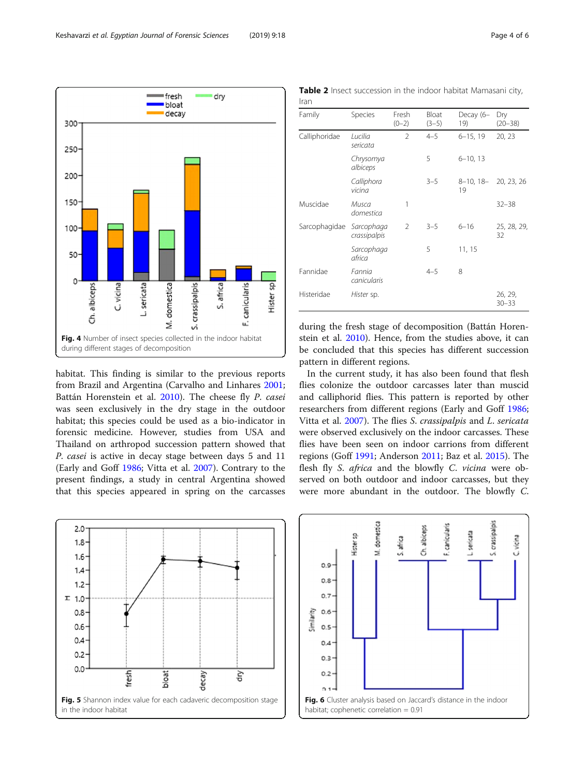<span id="page-3-0"></span>

habitat. This finding is similar to the previous reports from Brazil and Argentina (Carvalho and Linhares [2001](#page-4-0); Battán Horenstein et al. [2010\)](#page-4-0). The cheese fly P. casei was seen exclusively in the dry stage in the outdoor habitat; this species could be used as a bio-indicator in forensic medicine. However, studies from USA and Thailand on arthropod succession pattern showed that P. casei is active in decay stage between days 5 and 11 (Early and Goff [1986](#page-5-0); Vitta et al. [2007\)](#page-5-0). Contrary to the present findings, a study in central Argentina showed that this species appeared in spring on the carcasses

| Iran          |                            |                  |                  |                  |                      |  |  |
|---------------|----------------------------|------------------|------------------|------------------|----------------------|--|--|
| Family        | Species                    | Fresh<br>$(0-2)$ | Bloat<br>$(3-5)$ | Decay (6-<br>19) | Dry<br>$(20 - 38)$   |  |  |
| Calliphoridae | Lucilia<br>sericata        | $\mathcal{P}$    | $4 - 5$          | $6 - 15, 19$     | 20, 23               |  |  |
|               | Chrysomya<br>albiceps      |                  | 5                | $6 - 10, 13$     |                      |  |  |
|               | Calliphora<br>vicina       |                  | $3 - 5$          | 8-10, 18-<br>19  | 20, 23, 26           |  |  |
| Muscidae      | Musca<br>domestica         | 1                |                  |                  | $32 - 38$            |  |  |
| Sarcophagidae | Sarcophaga<br>crassipalpis | $\overline{2}$   | $3 - 5$          | $6 - 16$         | 25, 28, 29,<br>32    |  |  |
|               | Sarcophaga<br>africa       |                  | 5                | 11, 15           |                      |  |  |
| Fannidae      | Fannia<br>canicularis      |                  | $4 - 5$          | 8                |                      |  |  |
| Histeridae    | Hister sp.                 |                  |                  |                  | 26, 29,<br>$30 - 33$ |  |  |

Table 2 Insect succession in the indoor habitat Mamasani city,

during the fresh stage of decomposition (Battán Horenstein et al. [2010\)](#page-4-0). Hence, from the studies above, it can be concluded that this species has different succession pattern in different regions.

In the current study, it has also been found that flesh flies colonize the outdoor carcasses later than muscid and calliphorid flies. This pattern is reported by other researchers from different regions (Early and Goff [1986](#page-5-0); Vitta et al. [2007\)](#page-5-0). The flies S. crassipalpis and L. sericata were observed exclusively on the indoor carcasses. These flies have been seen on indoor carrions from different regions (Goff [1991](#page-5-0); Anderson [2011](#page-4-0); Baz et al. [2015](#page-4-0)). The flesh fly S. africa and the blowfly C. vicina were observed on both outdoor and indoor carcasses, but they were more abundant in the outdoor. The blowfly C.



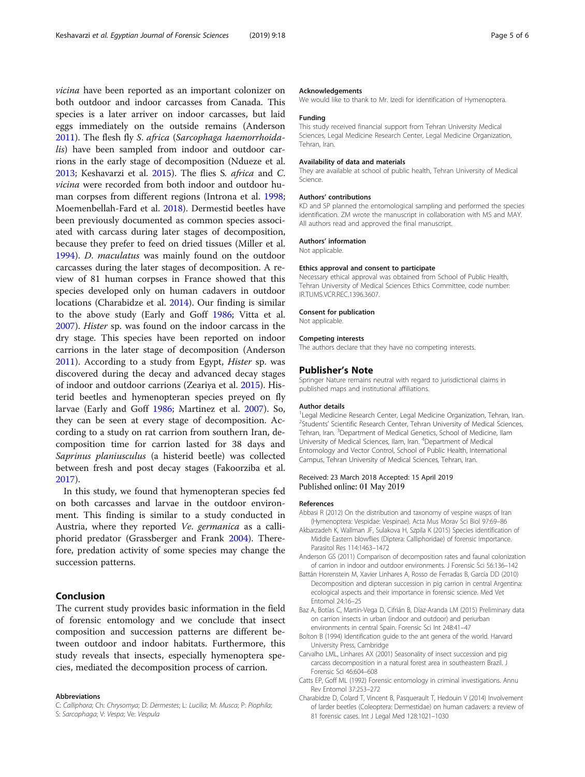<span id="page-4-0"></span>vicina have been reported as an important colonizer on both outdoor and indoor carcasses from Canada. This species is a later arriver on indoor carcasses, but laid eggs immediately on the outside remains (Anderson 2011). The flesh fly S. africa (Sarcophaga haemorrhoidalis) have been sampled from indoor and outdoor carrions in the early stage of decomposition (Ndueze et al. [2013](#page-5-0); Keshavarzi et al. [2015\)](#page-5-0). The flies S. africa and C. vicina were recorded from both indoor and outdoor human corpses from different regions (Introna et al. [1998](#page-5-0); Moemenbellah-Fard et al. [2018](#page-5-0)). Dermestid beetles have been previously documented as common species associated with carcass during later stages of decomposition, because they prefer to feed on dried tissues (Miller et al. [1994](#page-5-0)). D. maculatus was mainly found on the outdoor carcasses during the later stages of decomposition. A review of 81 human corpses in France showed that this species developed only on human cadavers in outdoor locations (Charabidze et al. 2014). Our finding is similar to the above study (Early and Goff [1986](#page-5-0); Vitta et al. [2007](#page-5-0)). Hister sp. was found on the indoor carcass in the dry stage. This species have been reported on indoor carrions in the later stage of decomposition (Anderson 2011). According to a study from Egypt, Hister sp. was discovered during the decay and advanced decay stages of indoor and outdoor carrions (Zeariya et al. [2015\)](#page-5-0). Histerid beetles and hymenopteran species preyed on fly larvae (Early and Goff [1986](#page-5-0); Martinez et al. [2007](#page-5-0)). So, they can be seen at every stage of decomposition. According to a study on rat carrion from southern Iran, decomposition time for carrion lasted for 38 days and Saprinus planiusculus (a histerid beetle) was collected between fresh and post decay stages (Fakoorziba et al. [2017](#page-5-0)).

In this study, we found that hymenopteran species fed on both carcasses and larvae in the outdoor environment. This finding is similar to a study conducted in Austria, where they reported Ve. germanica as a calliphorid predator (Grassberger and Frank [2004\)](#page-5-0). Therefore, predation activity of some species may change the succession patterns.

## Conclusion

The current study provides basic information in the field of forensic entomology and we conclude that insect composition and succession patterns are different between outdoor and indoor habitats. Furthermore, this study reveals that insects, especially hymenoptera species, mediated the decomposition process of carrion.

#### Abbreviations

#### Acknowledgements

We would like to thank to Mr. Izedi for identification of Hymenoptera.

#### Funding

This study received financial support from Tehran University Medical Sciences, Legal Medicine Research Center, Legal Medicine Organization, Tehran, Iran.

#### Availability of data and materials

They are available at school of public health, Tehran University of Medical Science.

#### Authors' contributions

KD and SP planned the entomological sampling and performed the species identification. ZM wrote the manuscript in collaboration with MS and MAY. All authors read and approved the final manuscript.

#### Authors' information

Not applicable.

#### Ethics approval and consent to participate

Necessary ethical approval was obtained from School of Public Health, Tehran University of Medical Sciences Ethics Committee, code number: IR.TUMS.VCR.REC.1396.3607.

#### Consent for publication

Not applicable.

#### Competing interests

The authors declare that they have no competing interests.

#### Publisher's Note

Springer Nature remains neutral with regard to jurisdictional claims in published maps and institutional affiliations.

#### Author details

<sup>1</sup> Legal Medicine Research Center, Legal Medicine Organization, Tehran, Iran <sup>2</sup>Students' Scientific Research Center, Tehran University of Medical Sciences, Tehran, Iran. <sup>3</sup>Department of Medical Genetics, School of Medicine, Ilam University of Medical Sciences, Ilam, Iran. <sup>4</sup>Department of Medical Entomology and Vector Control, School of Public Health, International Campus, Tehran University of Medical Sciences, Tehran, Iran.

#### Received: 23 March 2018 Accepted: 15 April 2019 Published online: 01 May 2019

#### References

- Abbasi R (2012) On the distribution and taxonomy of vespine wasps of Iran (Hymenoptera: Vespidae: Vespinae). Acta Mus Morav Sci Biol 97:69–86
- Akbarzadeh K, Wallman JF, Sulakova H, Szpila K (2015) Species identification of Middle Eastern blowflies (Diptera: Calliphoridae) of forensic importance. Parasitol Res 114:1463–1472
- Anderson GS (2011) Comparison of decomposition rates and faunal colonization of carrion in indoor and outdoor environments. J Forensic Sci 56:136–142
- Battán Horenstein M, Xavier Linhares A, Rosso de Ferradas B, García DD (2010) Decomposition and dipteran succession in pig carrion in central Argentina: ecological aspects and their importance in forensic science. Med Vet Entomol 24:16–25
- Baz A, Botías C, Martín-Vega D, Cifrián B, Díaz-Aranda LM (2015) Preliminary data on carrion insects in urban (indoor and outdoor) and periurban environments in central Spain. Forensic Sci Int 248:41–47
- Bolton B (1994) Identification guide to the ant genera of the world. Harvard University Press, Cambridge
- Carvalho LML, Linhares AX (2001) Seasonality of insect succession and pig carcass decomposition in a natural forest area in southeastern Brazil. Forensic Sci 46:604–608
- Catts EP, Goff ML (1992) Forensic entomology in criminal investigations. Annu Rev Entomol 37:253–272
- Charabidze D, Colard T, Vincent B, Pasquerault T, Hedouin V (2014) Involvement of larder beetles (Coleoptera: Dermestidae) on human cadavers: a review of 81 forensic cases. Int J Legal Med 128:1021–1030

C: Calliphora; Ch: Chrysomya; D: Dermestes; L: Lucilia; M: Musca; P: Piophila; S: Sarcophaga; V: Vespa; Ve: Vespula